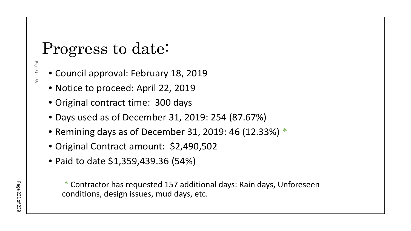# Progress to date:

Page 57 of 65 Page 57 of 65

- Council approval: February 18, 2019
- Notice to proceed: April 22, 2019
- Original contract time: 300 days
- Days used as of December 31, 2019: 254 (87.67%)
- Remining days as of December 31, 2019: 46 (12.33%) \*
- Original Contract amount: \$2,490,502
- Paid to date \$1,359,439.36 (54%)

\* Contractor has requested 157 additional days: Rain days, Unforeseen conditions, design issues, mud days, etc.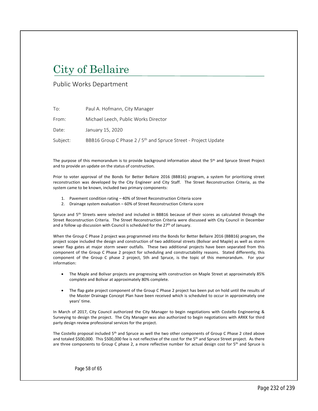# City of Bellaire

# Public Works Department

| To:      | Paul A. Hofmann, City Manager                                              |
|----------|----------------------------------------------------------------------------|
| From:    | Michael Leech, Public Works Director                                       |
| Date:    | January 15, 2020                                                           |
| Subject: | BBB16 Group C Phase 2 / 5 <sup>th</sup> and Spruce Street - Project Update |

The purpose of this memorandum is to provide background information about the 5<sup>th</sup> and Spruce Street Project and to provide an update on the status of construction.

Prior to voter approval of the Bonds for Better Bellaire 2016 (BBB16) program, a system for prioritizing street reconstruction was developed by the City Engineer and City Staff. The Street Reconstruction Criteria, as the system came to be known, included two primary components:

- 1. Pavement condition rating 40% of Street Reconstruction Criteria score
- 2. Drainage system evaluation 60% of Street Reconstruction Criteria score

Spruce and 5<sup>th</sup> Streets were selected and included in BBB16 because of their scores as calculated through the Street Reconstruction Criteria. The Street Reconstruction Criteria were discussed with City Council in December and a follow up discussion with Council is scheduled for the 27<sup>th</sup> of January.

When the Group C Phase 2 project was programmed into the Bonds for Better Bellaire 2016 (BBB16) program, the project scope included the design and construction of two additional streets (Bolivar and Maple) as well as storm sewer flap gates at major storm sewer outfalls. These two additional projects have been separated from this component of the Group C Phase 2 project for scheduling and constructability reasons. Stated differently, this component of the Group C phase 2 project, 5th and Spruce, is the topic of this memorandum. For your information:

- The Maple and Bolivar projects are progressing with construction on Maple Street at approximately 85% complete and Bolivar at approximately 80% complete.
- The flap gate project component of the Group C Phase 2 project has been put on hold until the results of the Master Drainage Concept Plan have been received which is scheduled to occur in approximately one years' time.

In March of 2017, City Council authorized the City Manager to begin negotiations with Costello Engineering & Surveying to design the project. The City Manager was also authorized to begin negotiations with ARKK for third party design review professional services for the project.

The Costello proposal included 5<sup>th</sup> and Spruce as well the two other components of Group C Phase 2 cited above and totaled \$500,000. This \$500,000 fee is not reflective of the cost for the 5<sup>th</sup> and Spruce Street project. As there are three components to Group C phase 2, a more reflective number for actual design cost for 5<sup>th</sup> and Spruce is

Page 58 of 65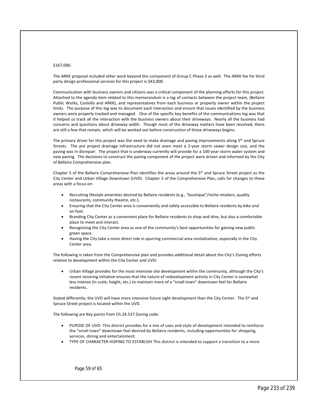#### \$167,000.

The ARKK proposal included other work beyond this component of Group C Phase 2 as well. The ARKK fee for third party design professional services for this project is \$43,000.

Communication with business owners and citizens was a critical component of the planning efforts for this project. Attached to the agenda item related to this memorandum is a log of contacts between the project team, (Bellaire Public Works, Costello and ARKK), and representatives from each business or property owner within the project limits. The purpose of this log was to document each interaction and ensure that issues identified by the business owners were properly tracked and managed. One of the specific key benefits of the communications log was that it helped us track all the interaction with the business owners about their driveways. Nearly all the business had concerns and questions about driveway width. Though most of the driveway matters have been resolved, there are still a few that remain, which will be worked out before construction of those driveways begins.

The primary driver for this project was the need to make drainage and paving improvements along 5<sup>th</sup> and Spruce Streets. The pre project drainage infrastructure did not even meet a 2-year storm sewer design size, and the paving was in disrepair. The project that is underway currently will provide for a 100-year storm water system and new paving. The decisions to construct the paving component of the project were driven and informed by the City of Bellaire Comprehensive plan.

Chapter 5 of the Bellaire Comprehensive Plan identifies the areas around the 5<sup>th</sup> and Spruce Street project as the City Center and Urban Village Downtown (UVD). Chapter 5 of the Comprehensive Plan, calls for changes to these areas with a focus on:

- Recruiting lifestyle amenities desired by Bellaire residents (e.g., "boutique"/niche retailers, quality restaurants, community theatre, etc.).
- Ensuring that the City Center area is conveniently and safely accessible to Bellaire residents by bike and on foot.
- Branding City Center as a convenient place for Bellaire residents to shop and dine, but also a comfortable place to meet and interact.
- Recognizing the City Center area as one of the community's best opportunities for gaining new public green space.
- Having the City take a more direct role in spurring commercial area revitalization, especially in the City Center area.

The following is taken from the Comprehensive plan and provides additional detail about the City's Zoning efforts relative to development within the City Center and UVD:

 Urban Village provides for the most intensive site development within the community, although the City's recent rezoning initiative ensures that the nature of redevelopment activity in City Center is somewhat less intense (in scale, height, etc.) to maintain more of a "small town" downtown feel for Bellaire residents.

Stated differently, the UVD will have more intensive future sight development than the City Center. The 5<sup>th</sup> and Spruce Street project is located within the UVD.

The following are Key points from Ch.24.537 Zoning code:

- PUPOSE OF UVD- This district provides for a mix of uses and style of development intended to reinforce the "small town" downtown feel desired by Bellaire residents, including opportunities for shopping, services, dining and entertainment.
- TYPE OF CHARACTER HOPING TO ESTABLISH This district is intended to support a transition to a more

Page 59 of 65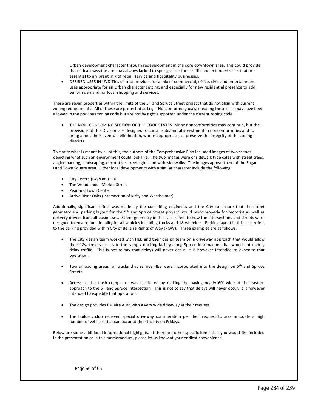Urban development character through redevelopment in the core downtown area. This could provide the critical mass the area has always lacked to spur greater foot traffic and extended visits that are essential to a vibrant mix of retail, service and hospitality businesses.

 DESIRED USES IN UVD This district provides for a mix of commercial, office, civic and entertainment uses appropriate for an Urban character setting, and especially for new residential presence to add built-in demand for local shopping and services.

There are seven properties within the limits of the 5<sup>th</sup> and Spruce Street project that do not align with current zoning requirements. All of these are protected as Legal-Nonconforming uses; meaning these uses may have been allowed in the previous zoning code but are not by right supported under the current zoning code.

THE NON\_CONFOMING SECTION OF THE CODE STATES- Many nonconformities may continue, but the provisions of this Division are designed to curtail substantial investment in nonconformities and to bring about their eventual elimination, where appropriate, to preserve the integrity of the zoning districts.

To clarify what is meant by all of this, the authors of the Comprehensive Plan included images of two scenes depicting what such an environment could look like. The two images were of sidewalk type cafés with street trees, angled parking, landscaping, decorative street lights and wide sidewalks. The images appear to be of the Sugar Land Town Square area. Other local developments with a similar character include the following:

- City Centre (BW8 at IH 10)
- The Woodlands Market Street
- Pearland Town Center
- Arrive River Oaks (Intersection of Kirby and Westheimer)

Additionally, significant effort was made by the consulting engineers and the City to ensure that the street geometry and parking layout for the 5<sup>th</sup> and Spruce Street project would work properly for motorist as well as delivery drivers from all businesses. Street geometry in this case refers to how the intersections and streets were designed to ensure functionality for all vehicles including trucks and 18-wheelers. Parking layout in this case refers to the parking provided within City of Bellaire Rights of Way (ROW). Three examples are as follows:

- The City design team worked with HEB and their design team on a driveway approach that would allow their 18wheelers access to the ramp / docking facility along Spruce in a manner that would not unduly delay traffic. This is not to say that delays will never occur, it is however intended to expedite that operation.
- Two unloading areas for trucks that service HEB were incorporated into the design on 5<sup>th</sup> and Spruce Streets.
- Access to the trash compactor was facilitated by making the paving nearly 60' wide at the eastern approach to the 5<sup>th</sup> and Spruce intersection. This is not to say that delays will never occur, it is however intended to expedite that operation.
- The design provides Bellaire Auto with a very wide driveway at their request.
- The builders club received special driveway consideration per their request to accommodate a high number of vehicles that can occur at their facility on Fridays.

Below are some additional informational highlights. If there are other specific items that you would like included in the presentation or in this memorandum, please let us know at your earliest convenience.

Page 60 of 65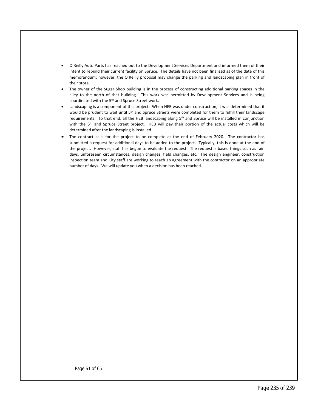- O'Reilly Auto Parts has reached out to the Development Services Department and informed them of their intent to rebuild their current facility on Spruce. The details have not been finalized as of the date of this memorandum; however, the O'Reilly proposal may change the parking and landscaping plan in front of their store.
- The owner of the Sugar Shop building is in the process of constructing additional parking spaces in the alley to the north of that building. This work was permitted by Development Services and is being coordinated with the 5<sup>th</sup> and Spruce Street work.
- Landscaping is a component of this project. When HEB was under construction, it was determined that it would be prudent to wait until 5<sup>th</sup> and Spruce Streets were completed for them to fulfill their landscape requirements. To that end, all the HEB landscaping along 5th and Spruce will be installed in conjunction with the 5<sup>th</sup> and Spruce Street project. HEB will pay their portion of the actual costs which will be determined after the landscaping is installed.
- The contract calls for the project to be complete at the end of February 2020. The contractor has submitted a request for additional days to be added to the project. Typically, this is done at the end of the project. However, staff has begun to evaluate the request. The request is based things such as rain days, unforeseen circumstances, design changes, field changes, etc. The design engineer, construction inspection team and City staff are working to reach an agreement with the contractor on an appropriate number of days. We will update you when a decision has been reached.

Page 61 of 65